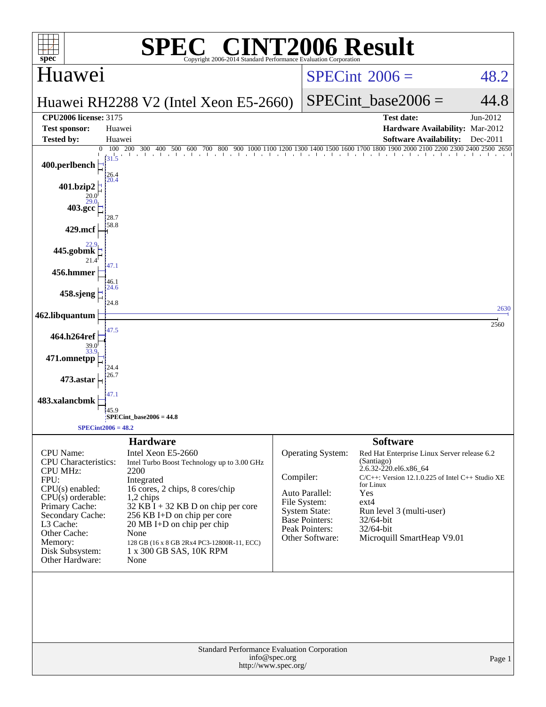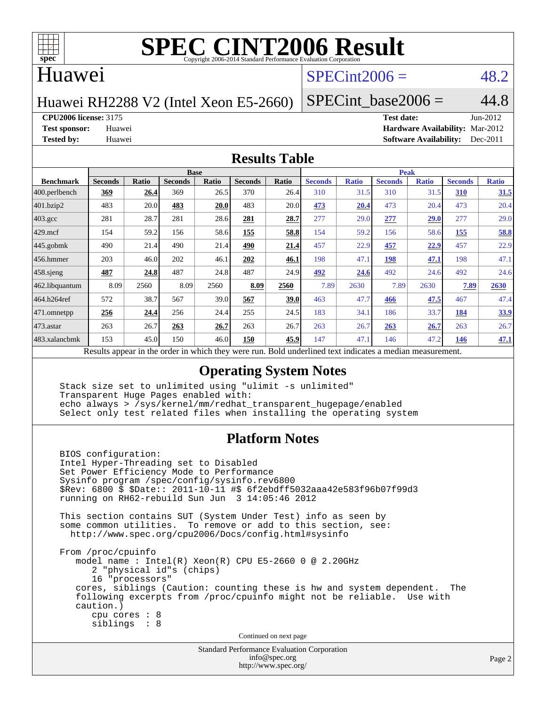

#### Huawei

## $SPECint2006 = 48.2$  $SPECint2006 = 48.2$

Huawei RH2288 V2 (Intel Xeon E5-2660)

SPECint base2006 =  $44.8$ 

**[CPU2006 license:](http://www.spec.org/auto/cpu2006/Docs/result-fields.html#CPU2006license)** 3175 **[Test date:](http://www.spec.org/auto/cpu2006/Docs/result-fields.html#Testdate)** Jun-2012

**[Test sponsor:](http://www.spec.org/auto/cpu2006/Docs/result-fields.html#Testsponsor)** Huawei **[Hardware Availability:](http://www.spec.org/auto/cpu2006/Docs/result-fields.html#HardwareAvailability)** Mar-2012 **[Tested by:](http://www.spec.org/auto/cpu2006/Docs/result-fields.html#Testedby)** Huawei **[Software Availability:](http://www.spec.org/auto/cpu2006/Docs/result-fields.html#SoftwareAvailability)** Dec-2011

#### **[Results Table](http://www.spec.org/auto/cpu2006/Docs/result-fields.html#ResultsTable)**

|                  | <b>Base</b>    |                                                                                                          |                |       |                |             | <b>Peak</b>    |              |                |              |                |              |  |  |
|------------------|----------------|----------------------------------------------------------------------------------------------------------|----------------|-------|----------------|-------------|----------------|--------------|----------------|--------------|----------------|--------------|--|--|
| <b>Benchmark</b> | <b>Seconds</b> | Ratio                                                                                                    | <b>Seconds</b> | Ratio | <b>Seconds</b> | Ratio       | <b>Seconds</b> | <b>Ratio</b> | <b>Seconds</b> | <b>Ratio</b> | <b>Seconds</b> | <b>Ratio</b> |  |  |
| 400.perlbench    | <u>369</u>     | 26.4                                                                                                     | 369            | 26.5  | 370            | 26.4        | 310            | 31.5         | 310            | 31.5         | 310            | 31.5         |  |  |
| 401.bzip2        | 483            | 20.0                                                                                                     | 483            | 20.0  | 483            | 20.0        | 473            | 20.4         | 473            | 20.4         | 473            | 20.4         |  |  |
| $403.\text{gcc}$ | 281            | 28.7                                                                                                     | 281            | 28.6  | 281            | 28.7        | 277            | 29.0         | 277            | 29.0         | 277            | 29.0         |  |  |
| $429$ .mcf       | 154            | 59.2                                                                                                     | 156            | 58.6  | 155            | 58.8        | 154            | 59.2         | 156            | 58.6         | 155            | 58.8         |  |  |
| $445$ .gobmk     | 490            | 21.4                                                                                                     | 490            | 21.4  | 490            | 21.4        | 457            | 22.9         | 457            | 22.9         | 457            | 22.9         |  |  |
| 456.hmmer        | 203            | 46.0                                                                                                     | 202            | 46.1  | 202            | 46.1        | 198            | 47.1         | 198            | 47.1         | 198            | 47.1         |  |  |
| $458$ sjeng      | 487            | 24.8                                                                                                     | 487            | 24.8  | 487            | 24.9        | 492            | 24.6         | 492            | 24.6         | 492            | 24.6         |  |  |
| 462.libquantum   | 8.09           | 2560                                                                                                     | 8.09           | 2560  | 8.09           | 2560        | 7.89           | 2630         | 7.89           | 2630         | 7.89           | 2630         |  |  |
| 464.h264ref      | 572            | 38.7                                                                                                     | 567            | 39.0  | 567            | <b>39.0</b> | 463            | 47.7         | 466            | 47.5         | 467            | 47.4         |  |  |
| 471.omnetpp      | 256            | 24.4                                                                                                     | 256            | 24.4  | 255            | 24.5        | 183            | 34.1         | 186            | 33.7         | 184            | 33.9         |  |  |
| 473.astar        | 263            | 26.7                                                                                                     | 263            | 26.7  | 263            | 26.7        | 263            | 26.7         | 263            | 26.7         | 263            | 26.7         |  |  |
| 483.xalancbmk    | 153            | 45.0                                                                                                     | 150            | 46.0  | 150            | 45.9        | 147            | 47.1         | 146            | 47.2         | 146            | 47.1         |  |  |
|                  |                | Results appear in the order in which they were run. Bold underlined text indicates a median measurement. |                |       |                |             |                |              |                |              |                |              |  |  |

#### **[Operating System Notes](http://www.spec.org/auto/cpu2006/Docs/result-fields.html#OperatingSystemNotes)**

 Stack size set to unlimited using "ulimit -s unlimited" Transparent Huge Pages enabled with: echo always > /sys/kernel/mm/redhat\_transparent\_hugepage/enabled Select only test related files when installing the operating system

#### **[Platform Notes](http://www.spec.org/auto/cpu2006/Docs/result-fields.html#PlatformNotes)**

 BIOS configuration: Intel Hyper-Threading set to Disabled Set Power Efficiency Mode to Performance Sysinfo program /spec/config/sysinfo.rev6800 \$Rev: 6800 \$ \$Date:: 2011-10-11 #\$ 6f2ebdff5032aaa42e583f96b07f99d3 running on RH62-rebuild Sun Jun 3 14:05:46 2012 This section contains SUT (System Under Test) info as seen by some common utilities. To remove or add to this section, see: <http://www.spec.org/cpu2006/Docs/config.html#sysinfo> From /proc/cpuinfo model name : Intel(R) Xeon(R) CPU E5-2660 0 @ 2.20GHz 2 "physical id"s (chips) 16 "processors" cores, siblings (Caution: counting these is hw and system dependent. The following excerpts from /proc/cpuinfo might not be reliable. Use with caution.) cpu cores : 8 siblings : 8 Continued on next page

> Standard Performance Evaluation Corporation [info@spec.org](mailto:info@spec.org) <http://www.spec.org/>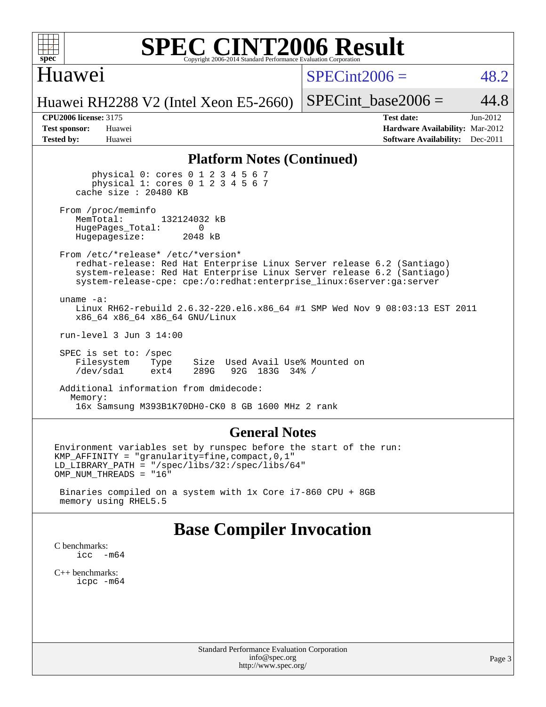

## Huawei

 $SPECint2006 = 48.2$  $SPECint2006 = 48.2$ 

Huawei RH2288 V2 (Intel Xeon E5-2660)

SPECint base2006 =  $44.8$ 

**[CPU2006 license:](http://www.spec.org/auto/cpu2006/Docs/result-fields.html#CPU2006license)** 3175 **[Test date:](http://www.spec.org/auto/cpu2006/Docs/result-fields.html#Testdate)** Jun-2012 **[Test sponsor:](http://www.spec.org/auto/cpu2006/Docs/result-fields.html#Testsponsor)** Huawei **[Hardware Availability:](http://www.spec.org/auto/cpu2006/Docs/result-fields.html#HardwareAvailability)** Mar-2012 **[Tested by:](http://www.spec.org/auto/cpu2006/Docs/result-fields.html#Testedby)** Huawei **[Software Availability:](http://www.spec.org/auto/cpu2006/Docs/result-fields.html#SoftwareAvailability)** Dec-2011

#### **[Platform Notes \(Continued\)](http://www.spec.org/auto/cpu2006/Docs/result-fields.html#PlatformNotes)**

 physical 0: cores 0 1 2 3 4 5 6 7 physical 1: cores 0 1 2 3 4 5 6 7 cache size : 20480 KB

From /proc/meminfo<br>MemTotal: 132124032 kB HugePages\_Total: 0<br>Hugepagesize: 2048 kB Hugepagesize:

 From /etc/\*release\* /etc/\*version\* redhat-release: Red Hat Enterprise Linux Server release 6.2 (Santiago) system-release: Red Hat Enterprise Linux Server release 6.2 (Santiago) system-release-cpe: cpe:/o:redhat:enterprise\_linux:6server:ga:server

 uname -a: Linux RH62-rebuild 2.6.32-220.el6.x86\_64 #1 SMP Wed Nov 9 08:03:13 EST 2011 x86\_64 x86\_64 x86\_64 GNU/Linux

run-level 3 Jun 3 14:00

 SPEC is set to: /spec Filesystem Type Size Used Avail Use% Mounted on<br>
/dev/sda1 ext4 289G 92G 183G 34% / 92G 183G 34% /

 Additional information from dmidecode: Memory: 16x Samsung M393B1K70DH0-CK0 8 GB 1600 MHz 2 rank

#### **[General Notes](http://www.spec.org/auto/cpu2006/Docs/result-fields.html#GeneralNotes)**

Environment variables set by runspec before the start of the run: KMP\_AFFINITY = "granularity=fine,compact,0,1" LD\_LIBRARY\_PATH = "/spec/libs/32:/spec/libs/64" OMP\_NUM\_THREADS = "16"

 Binaries compiled on a system with 1x Core i7-860 CPU + 8GB memory using RHEL5.5

## **[Base Compiler Invocation](http://www.spec.org/auto/cpu2006/Docs/result-fields.html#BaseCompilerInvocation)**

[C benchmarks](http://www.spec.org/auto/cpu2006/Docs/result-fields.html#Cbenchmarks): icc  $-m64$ 

[C++ benchmarks:](http://www.spec.org/auto/cpu2006/Docs/result-fields.html#CXXbenchmarks) [icpc -m64](http://www.spec.org/cpu2006/results/res2012q3/cpu2006-20120612-22872.flags.html#user_CXXbase_intel_icpc_64bit_fc66a5337ce925472a5c54ad6a0de310)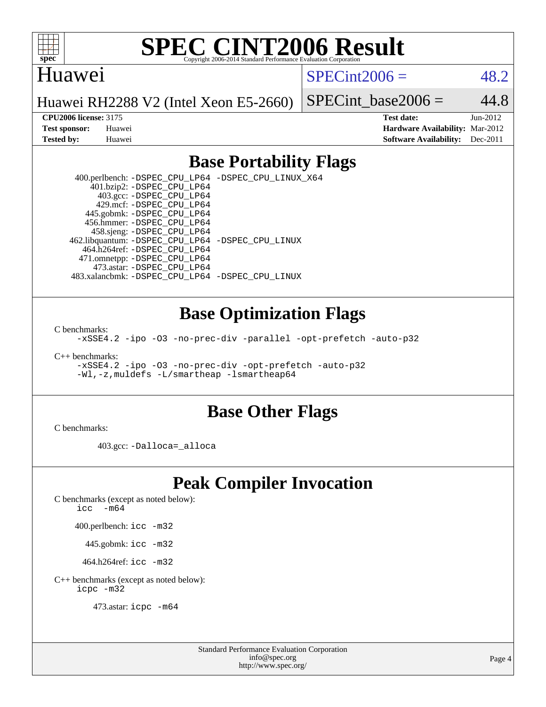

#### Huawei

 $SPECint2006 = 48.2$  $SPECint2006 = 48.2$ 

Huawei RH2288 V2 (Intel Xeon E5-2660)

SPECint base2006 =  $44.8$ 

**[CPU2006 license:](http://www.spec.org/auto/cpu2006/Docs/result-fields.html#CPU2006license)** 3175 **[Test date:](http://www.spec.org/auto/cpu2006/Docs/result-fields.html#Testdate)** Jun-2012 **[Test sponsor:](http://www.spec.org/auto/cpu2006/Docs/result-fields.html#Testsponsor)** Huawei **[Hardware Availability:](http://www.spec.org/auto/cpu2006/Docs/result-fields.html#HardwareAvailability)** Mar-2012 **[Tested by:](http://www.spec.org/auto/cpu2006/Docs/result-fields.html#Testedby)** Huawei **[Software Availability:](http://www.spec.org/auto/cpu2006/Docs/result-fields.html#SoftwareAvailability)** Dec-2011

### **[Base Portability Flags](http://www.spec.org/auto/cpu2006/Docs/result-fields.html#BasePortabilityFlags)**

 400.perlbench: [-DSPEC\\_CPU\\_LP64](http://www.spec.org/cpu2006/results/res2012q3/cpu2006-20120612-22872.flags.html#b400.perlbench_basePORTABILITY_DSPEC_CPU_LP64) [-DSPEC\\_CPU\\_LINUX\\_X64](http://www.spec.org/cpu2006/results/res2012q3/cpu2006-20120612-22872.flags.html#b400.perlbench_baseCPORTABILITY_DSPEC_CPU_LINUX_X64) 401.bzip2: [-DSPEC\\_CPU\\_LP64](http://www.spec.org/cpu2006/results/res2012q3/cpu2006-20120612-22872.flags.html#suite_basePORTABILITY401_bzip2_DSPEC_CPU_LP64) 403.gcc: [-DSPEC\\_CPU\\_LP64](http://www.spec.org/cpu2006/results/res2012q3/cpu2006-20120612-22872.flags.html#suite_basePORTABILITY403_gcc_DSPEC_CPU_LP64) 429.mcf: [-DSPEC\\_CPU\\_LP64](http://www.spec.org/cpu2006/results/res2012q3/cpu2006-20120612-22872.flags.html#suite_basePORTABILITY429_mcf_DSPEC_CPU_LP64) 445.gobmk: [-DSPEC\\_CPU\\_LP64](http://www.spec.org/cpu2006/results/res2012q3/cpu2006-20120612-22872.flags.html#suite_basePORTABILITY445_gobmk_DSPEC_CPU_LP64) 456.hmmer: [-DSPEC\\_CPU\\_LP64](http://www.spec.org/cpu2006/results/res2012q3/cpu2006-20120612-22872.flags.html#suite_basePORTABILITY456_hmmer_DSPEC_CPU_LP64) 458.sjeng: [-DSPEC\\_CPU\\_LP64](http://www.spec.org/cpu2006/results/res2012q3/cpu2006-20120612-22872.flags.html#suite_basePORTABILITY458_sjeng_DSPEC_CPU_LP64) 462.libquantum: [-DSPEC\\_CPU\\_LP64](http://www.spec.org/cpu2006/results/res2012q3/cpu2006-20120612-22872.flags.html#suite_basePORTABILITY462_libquantum_DSPEC_CPU_LP64) [-DSPEC\\_CPU\\_LINUX](http://www.spec.org/cpu2006/results/res2012q3/cpu2006-20120612-22872.flags.html#b462.libquantum_baseCPORTABILITY_DSPEC_CPU_LINUX) 464.h264ref: [-DSPEC\\_CPU\\_LP64](http://www.spec.org/cpu2006/results/res2012q3/cpu2006-20120612-22872.flags.html#suite_basePORTABILITY464_h264ref_DSPEC_CPU_LP64) 471.omnetpp: [-DSPEC\\_CPU\\_LP64](http://www.spec.org/cpu2006/results/res2012q3/cpu2006-20120612-22872.flags.html#suite_basePORTABILITY471_omnetpp_DSPEC_CPU_LP64) 473.astar: [-DSPEC\\_CPU\\_LP64](http://www.spec.org/cpu2006/results/res2012q3/cpu2006-20120612-22872.flags.html#suite_basePORTABILITY473_astar_DSPEC_CPU_LP64) 483.xalancbmk: [-DSPEC\\_CPU\\_LP64](http://www.spec.org/cpu2006/results/res2012q3/cpu2006-20120612-22872.flags.html#suite_basePORTABILITY483_xalancbmk_DSPEC_CPU_LP64) [-DSPEC\\_CPU\\_LINUX](http://www.spec.org/cpu2006/results/res2012q3/cpu2006-20120612-22872.flags.html#b483.xalancbmk_baseCXXPORTABILITY_DSPEC_CPU_LINUX)

#### **[Base Optimization Flags](http://www.spec.org/auto/cpu2006/Docs/result-fields.html#BaseOptimizationFlags)**

[C benchmarks](http://www.spec.org/auto/cpu2006/Docs/result-fields.html#Cbenchmarks):

[-xSSE4.2](http://www.spec.org/cpu2006/results/res2012q3/cpu2006-20120612-22872.flags.html#user_CCbase_f-xSSE42_f91528193cf0b216347adb8b939d4107) [-ipo](http://www.spec.org/cpu2006/results/res2012q3/cpu2006-20120612-22872.flags.html#user_CCbase_f-ipo) [-O3](http://www.spec.org/cpu2006/results/res2012q3/cpu2006-20120612-22872.flags.html#user_CCbase_f-O3) [-no-prec-div](http://www.spec.org/cpu2006/results/res2012q3/cpu2006-20120612-22872.flags.html#user_CCbase_f-no-prec-div) [-parallel](http://www.spec.org/cpu2006/results/res2012q3/cpu2006-20120612-22872.flags.html#user_CCbase_f-parallel) [-opt-prefetch](http://www.spec.org/cpu2006/results/res2012q3/cpu2006-20120612-22872.flags.html#user_CCbase_f-opt-prefetch) [-auto-p32](http://www.spec.org/cpu2006/results/res2012q3/cpu2006-20120612-22872.flags.html#user_CCbase_f-auto-p32)

[C++ benchmarks:](http://www.spec.org/auto/cpu2006/Docs/result-fields.html#CXXbenchmarks)

[-xSSE4.2](http://www.spec.org/cpu2006/results/res2012q3/cpu2006-20120612-22872.flags.html#user_CXXbase_f-xSSE42_f91528193cf0b216347adb8b939d4107) [-ipo](http://www.spec.org/cpu2006/results/res2012q3/cpu2006-20120612-22872.flags.html#user_CXXbase_f-ipo) [-O3](http://www.spec.org/cpu2006/results/res2012q3/cpu2006-20120612-22872.flags.html#user_CXXbase_f-O3) [-no-prec-div](http://www.spec.org/cpu2006/results/res2012q3/cpu2006-20120612-22872.flags.html#user_CXXbase_f-no-prec-div) [-opt-prefetch](http://www.spec.org/cpu2006/results/res2012q3/cpu2006-20120612-22872.flags.html#user_CXXbase_f-opt-prefetch) [-auto-p32](http://www.spec.org/cpu2006/results/res2012q3/cpu2006-20120612-22872.flags.html#user_CXXbase_f-auto-p32) [-Wl,-z,muldefs](http://www.spec.org/cpu2006/results/res2012q3/cpu2006-20120612-22872.flags.html#user_CXXbase_link_force_multiple1_74079c344b956b9658436fd1b6dd3a8a) [-L/smartheap -lsmartheap64](http://www.spec.org/cpu2006/results/res2012q3/cpu2006-20120612-22872.flags.html#user_CXXbase_SmartHeap64_5e654037dadeae1fe403ab4b4466e60b)

#### **[Base Other Flags](http://www.spec.org/auto/cpu2006/Docs/result-fields.html#BaseOtherFlags)**

[C benchmarks](http://www.spec.org/auto/cpu2006/Docs/result-fields.html#Cbenchmarks):

403.gcc: [-Dalloca=\\_alloca](http://www.spec.org/cpu2006/results/res2012q3/cpu2006-20120612-22872.flags.html#b403.gcc_baseEXTRA_CFLAGS_Dalloca_be3056838c12de2578596ca5467af7f3)

## **[Peak Compiler Invocation](http://www.spec.org/auto/cpu2006/Docs/result-fields.html#PeakCompilerInvocation)**

[C benchmarks \(except as noted below\)](http://www.spec.org/auto/cpu2006/Docs/result-fields.html#Cbenchmarksexceptasnotedbelow):

icc  $-m64$ 

400.perlbench: [icc -m32](http://www.spec.org/cpu2006/results/res2012q3/cpu2006-20120612-22872.flags.html#user_peakCCLD400_perlbench_intel_icc_a6a621f8d50482236b970c6ac5f55f93)

445.gobmk: [icc -m32](http://www.spec.org/cpu2006/results/res2012q3/cpu2006-20120612-22872.flags.html#user_peakCCLD445_gobmk_intel_icc_a6a621f8d50482236b970c6ac5f55f93)

464.h264ref: [icc -m32](http://www.spec.org/cpu2006/results/res2012q3/cpu2006-20120612-22872.flags.html#user_peakCCLD464_h264ref_intel_icc_a6a621f8d50482236b970c6ac5f55f93)

[C++ benchmarks \(except as noted below\):](http://www.spec.org/auto/cpu2006/Docs/result-fields.html#CXXbenchmarksexceptasnotedbelow) [icpc -m32](http://www.spec.org/cpu2006/results/res2012q3/cpu2006-20120612-22872.flags.html#user_CXXpeak_intel_icpc_4e5a5ef1a53fd332b3c49e69c3330699)

473.astar: [icpc -m64](http://www.spec.org/cpu2006/results/res2012q3/cpu2006-20120612-22872.flags.html#user_peakCXXLD473_astar_intel_icpc_64bit_fc66a5337ce925472a5c54ad6a0de310)

Standard Performance Evaluation Corporation [info@spec.org](mailto:info@spec.org) <http://www.spec.org/>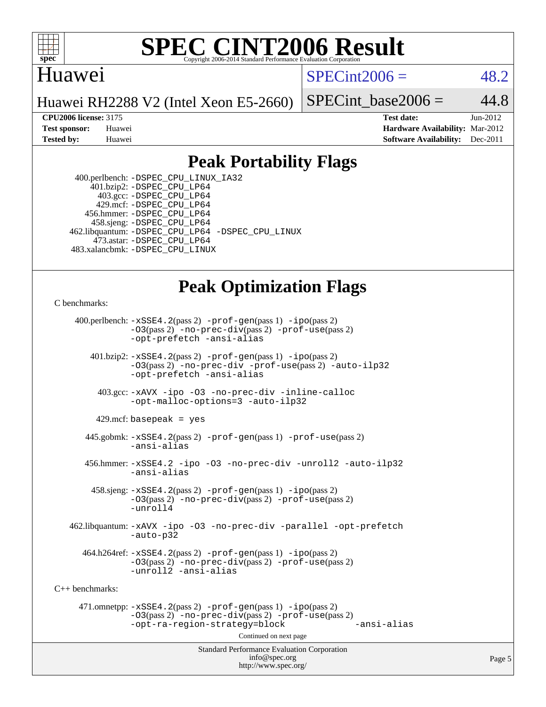

#### **[SPEC CINT2006 Result](http://www.spec.org/auto/cpu2006/Docs/result-fields.html#SPECCINT2006Result)** Copyright 2006-2014 Standard Performance Evaluation C

### Huawei

 $SPECint2006 = 48.2$  $SPECint2006 = 48.2$ 

Huawei RH2288 V2 (Intel Xeon E5-2660)

SPECint base2006 =  $44.8$ 

**[CPU2006 license:](http://www.spec.org/auto/cpu2006/Docs/result-fields.html#CPU2006license)** 3175 **[Test date:](http://www.spec.org/auto/cpu2006/Docs/result-fields.html#Testdate)** Jun-2012 **[Test sponsor:](http://www.spec.org/auto/cpu2006/Docs/result-fields.html#Testsponsor)** Huawei **[Hardware Availability:](http://www.spec.org/auto/cpu2006/Docs/result-fields.html#HardwareAvailability)** Mar-2012 **[Tested by:](http://www.spec.org/auto/cpu2006/Docs/result-fields.html#Testedby)** Huawei **[Software Availability:](http://www.spec.org/auto/cpu2006/Docs/result-fields.html#SoftwareAvailability)** Dec-2011

## **[Peak Portability Flags](http://www.spec.org/auto/cpu2006/Docs/result-fields.html#PeakPortabilityFlags)**

 400.perlbench: [-DSPEC\\_CPU\\_LINUX\\_IA32](http://www.spec.org/cpu2006/results/res2012q3/cpu2006-20120612-22872.flags.html#b400.perlbench_peakCPORTABILITY_DSPEC_CPU_LINUX_IA32) 401.bzip2: [-DSPEC\\_CPU\\_LP64](http://www.spec.org/cpu2006/results/res2012q3/cpu2006-20120612-22872.flags.html#suite_peakPORTABILITY401_bzip2_DSPEC_CPU_LP64) 403.gcc: [-DSPEC\\_CPU\\_LP64](http://www.spec.org/cpu2006/results/res2012q3/cpu2006-20120612-22872.flags.html#suite_peakPORTABILITY403_gcc_DSPEC_CPU_LP64) 429.mcf: [-DSPEC\\_CPU\\_LP64](http://www.spec.org/cpu2006/results/res2012q3/cpu2006-20120612-22872.flags.html#suite_peakPORTABILITY429_mcf_DSPEC_CPU_LP64) 456.hmmer: [-DSPEC\\_CPU\\_LP64](http://www.spec.org/cpu2006/results/res2012q3/cpu2006-20120612-22872.flags.html#suite_peakPORTABILITY456_hmmer_DSPEC_CPU_LP64) 458.sjeng: [-DSPEC\\_CPU\\_LP64](http://www.spec.org/cpu2006/results/res2012q3/cpu2006-20120612-22872.flags.html#suite_peakPORTABILITY458_sjeng_DSPEC_CPU_LP64) 462.libquantum: [-DSPEC\\_CPU\\_LP64](http://www.spec.org/cpu2006/results/res2012q3/cpu2006-20120612-22872.flags.html#suite_peakPORTABILITY462_libquantum_DSPEC_CPU_LP64) [-DSPEC\\_CPU\\_LINUX](http://www.spec.org/cpu2006/results/res2012q3/cpu2006-20120612-22872.flags.html#b462.libquantum_peakCPORTABILITY_DSPEC_CPU_LINUX) 473.astar: [-DSPEC\\_CPU\\_LP64](http://www.spec.org/cpu2006/results/res2012q3/cpu2006-20120612-22872.flags.html#suite_peakPORTABILITY473_astar_DSPEC_CPU_LP64) 483.xalancbmk: [-DSPEC\\_CPU\\_LINUX](http://www.spec.org/cpu2006/results/res2012q3/cpu2006-20120612-22872.flags.html#b483.xalancbmk_peakCXXPORTABILITY_DSPEC_CPU_LINUX)

# **[Peak Optimization Flags](http://www.spec.org/auto/cpu2006/Docs/result-fields.html#PeakOptimizationFlags)**

[C benchmarks](http://www.spec.org/auto/cpu2006/Docs/result-fields.html#Cbenchmarks):

Standard Performance Evaluation Corporation [info@spec.org](mailto:info@spec.org) 400.perlbench: [-xSSE4.2](http://www.spec.org/cpu2006/results/res2012q3/cpu2006-20120612-22872.flags.html#user_peakPASS2_CFLAGSPASS2_LDCFLAGS400_perlbench_f-xSSE42_f91528193cf0b216347adb8b939d4107)(pass 2) [-prof-gen](http://www.spec.org/cpu2006/results/res2012q3/cpu2006-20120612-22872.flags.html#user_peakPASS1_CFLAGSPASS1_LDCFLAGS400_perlbench_prof_gen_e43856698f6ca7b7e442dfd80e94a8fc)(pass 1) [-ipo](http://www.spec.org/cpu2006/results/res2012q3/cpu2006-20120612-22872.flags.html#user_peakPASS2_CFLAGSPASS2_LDCFLAGS400_perlbench_f-ipo)(pass 2) [-O3](http://www.spec.org/cpu2006/results/res2012q3/cpu2006-20120612-22872.flags.html#user_peakPASS2_CFLAGSPASS2_LDCFLAGS400_perlbench_f-O3)(pass 2) [-no-prec-div](http://www.spec.org/cpu2006/results/res2012q3/cpu2006-20120612-22872.flags.html#user_peakPASS2_CFLAGSPASS2_LDCFLAGS400_perlbench_f-no-prec-div)(pass 2) [-prof-use](http://www.spec.org/cpu2006/results/res2012q3/cpu2006-20120612-22872.flags.html#user_peakPASS2_CFLAGSPASS2_LDCFLAGS400_perlbench_prof_use_bccf7792157ff70d64e32fe3e1250b55)(pass 2) [-opt-prefetch](http://www.spec.org/cpu2006/results/res2012q3/cpu2006-20120612-22872.flags.html#user_peakCOPTIMIZE400_perlbench_f-opt-prefetch) [-ansi-alias](http://www.spec.org/cpu2006/results/res2012q3/cpu2006-20120612-22872.flags.html#user_peakCOPTIMIZE400_perlbench_f-ansi-alias) 401.bzip2: [-xSSE4.2](http://www.spec.org/cpu2006/results/res2012q3/cpu2006-20120612-22872.flags.html#user_peakPASS2_CFLAGSPASS2_LDCFLAGS401_bzip2_f-xSSE42_f91528193cf0b216347adb8b939d4107)(pass 2) [-prof-gen](http://www.spec.org/cpu2006/results/res2012q3/cpu2006-20120612-22872.flags.html#user_peakPASS1_CFLAGSPASS1_LDCFLAGS401_bzip2_prof_gen_e43856698f6ca7b7e442dfd80e94a8fc)(pass 1) [-ipo](http://www.spec.org/cpu2006/results/res2012q3/cpu2006-20120612-22872.flags.html#user_peakPASS2_CFLAGSPASS2_LDCFLAGS401_bzip2_f-ipo)(pass 2) [-O3](http://www.spec.org/cpu2006/results/res2012q3/cpu2006-20120612-22872.flags.html#user_peakPASS2_CFLAGSPASS2_LDCFLAGS401_bzip2_f-O3)(pass 2) [-no-prec-div](http://www.spec.org/cpu2006/results/res2012q3/cpu2006-20120612-22872.flags.html#user_peakCOPTIMIZEPASS2_CFLAGSPASS2_LDCFLAGS401_bzip2_f-no-prec-div) [-prof-use](http://www.spec.org/cpu2006/results/res2012q3/cpu2006-20120612-22872.flags.html#user_peakPASS2_CFLAGSPASS2_LDCFLAGS401_bzip2_prof_use_bccf7792157ff70d64e32fe3e1250b55)(pass 2) [-auto-ilp32](http://www.spec.org/cpu2006/results/res2012q3/cpu2006-20120612-22872.flags.html#user_peakCOPTIMIZE401_bzip2_f-auto-ilp32) [-opt-prefetch](http://www.spec.org/cpu2006/results/res2012q3/cpu2006-20120612-22872.flags.html#user_peakCOPTIMIZE401_bzip2_f-opt-prefetch) [-ansi-alias](http://www.spec.org/cpu2006/results/res2012q3/cpu2006-20120612-22872.flags.html#user_peakCOPTIMIZE401_bzip2_f-ansi-alias) 403.gcc: [-xAVX](http://www.spec.org/cpu2006/results/res2012q3/cpu2006-20120612-22872.flags.html#user_peakCOPTIMIZE403_gcc_f-xAVX) [-ipo](http://www.spec.org/cpu2006/results/res2012q3/cpu2006-20120612-22872.flags.html#user_peakCOPTIMIZE403_gcc_f-ipo) [-O3](http://www.spec.org/cpu2006/results/res2012q3/cpu2006-20120612-22872.flags.html#user_peakCOPTIMIZE403_gcc_f-O3) [-no-prec-div](http://www.spec.org/cpu2006/results/res2012q3/cpu2006-20120612-22872.flags.html#user_peakCOPTIMIZE403_gcc_f-no-prec-div) [-inline-calloc](http://www.spec.org/cpu2006/results/res2012q3/cpu2006-20120612-22872.flags.html#user_peakCOPTIMIZE403_gcc_f-inline-calloc) [-opt-malloc-options=3](http://www.spec.org/cpu2006/results/res2012q3/cpu2006-20120612-22872.flags.html#user_peakCOPTIMIZE403_gcc_f-opt-malloc-options_13ab9b803cf986b4ee62f0a5998c2238) [-auto-ilp32](http://www.spec.org/cpu2006/results/res2012q3/cpu2006-20120612-22872.flags.html#user_peakCOPTIMIZE403_gcc_f-auto-ilp32)  $429$ .mcf: basepeak = yes 445.gobmk: [-xSSE4.2](http://www.spec.org/cpu2006/results/res2012q3/cpu2006-20120612-22872.flags.html#user_peakPASS2_CFLAGSPASS2_LDCFLAGS445_gobmk_f-xSSE42_f91528193cf0b216347adb8b939d4107)(pass 2) [-prof-gen](http://www.spec.org/cpu2006/results/res2012q3/cpu2006-20120612-22872.flags.html#user_peakPASS1_CFLAGSPASS1_LDCFLAGS445_gobmk_prof_gen_e43856698f6ca7b7e442dfd80e94a8fc)(pass 1) [-prof-use](http://www.spec.org/cpu2006/results/res2012q3/cpu2006-20120612-22872.flags.html#user_peakPASS2_CFLAGSPASS2_LDCFLAGS445_gobmk_prof_use_bccf7792157ff70d64e32fe3e1250b55)(pass 2) [-ansi-alias](http://www.spec.org/cpu2006/results/res2012q3/cpu2006-20120612-22872.flags.html#user_peakCOPTIMIZE445_gobmk_f-ansi-alias) 456.hmmer: [-xSSE4.2](http://www.spec.org/cpu2006/results/res2012q3/cpu2006-20120612-22872.flags.html#user_peakCOPTIMIZE456_hmmer_f-xSSE42_f91528193cf0b216347adb8b939d4107) [-ipo](http://www.spec.org/cpu2006/results/res2012q3/cpu2006-20120612-22872.flags.html#user_peakCOPTIMIZE456_hmmer_f-ipo) [-O3](http://www.spec.org/cpu2006/results/res2012q3/cpu2006-20120612-22872.flags.html#user_peakCOPTIMIZE456_hmmer_f-O3) [-no-prec-div](http://www.spec.org/cpu2006/results/res2012q3/cpu2006-20120612-22872.flags.html#user_peakCOPTIMIZE456_hmmer_f-no-prec-div) [-unroll2](http://www.spec.org/cpu2006/results/res2012q3/cpu2006-20120612-22872.flags.html#user_peakCOPTIMIZE456_hmmer_f-unroll_784dae83bebfb236979b41d2422d7ec2) [-auto-ilp32](http://www.spec.org/cpu2006/results/res2012q3/cpu2006-20120612-22872.flags.html#user_peakCOPTIMIZE456_hmmer_f-auto-ilp32) [-ansi-alias](http://www.spec.org/cpu2006/results/res2012q3/cpu2006-20120612-22872.flags.html#user_peakCOPTIMIZE456_hmmer_f-ansi-alias) 458.sjeng: [-xSSE4.2](http://www.spec.org/cpu2006/results/res2012q3/cpu2006-20120612-22872.flags.html#user_peakPASS2_CFLAGSPASS2_LDCFLAGS458_sjeng_f-xSSE42_f91528193cf0b216347adb8b939d4107)(pass 2) [-prof-gen](http://www.spec.org/cpu2006/results/res2012q3/cpu2006-20120612-22872.flags.html#user_peakPASS1_CFLAGSPASS1_LDCFLAGS458_sjeng_prof_gen_e43856698f6ca7b7e442dfd80e94a8fc)(pass 1) [-ipo](http://www.spec.org/cpu2006/results/res2012q3/cpu2006-20120612-22872.flags.html#user_peakPASS2_CFLAGSPASS2_LDCFLAGS458_sjeng_f-ipo)(pass 2) [-O3](http://www.spec.org/cpu2006/results/res2012q3/cpu2006-20120612-22872.flags.html#user_peakPASS2_CFLAGSPASS2_LDCFLAGS458_sjeng_f-O3)(pass 2) [-no-prec-div](http://www.spec.org/cpu2006/results/res2012q3/cpu2006-20120612-22872.flags.html#user_peakPASS2_CFLAGSPASS2_LDCFLAGS458_sjeng_f-no-prec-div)(pass 2) [-prof-use](http://www.spec.org/cpu2006/results/res2012q3/cpu2006-20120612-22872.flags.html#user_peakPASS2_CFLAGSPASS2_LDCFLAGS458_sjeng_prof_use_bccf7792157ff70d64e32fe3e1250b55)(pass 2) [-unroll4](http://www.spec.org/cpu2006/results/res2012q3/cpu2006-20120612-22872.flags.html#user_peakCOPTIMIZE458_sjeng_f-unroll_4e5e4ed65b7fd20bdcd365bec371b81f) 462.libquantum: [-xAVX](http://www.spec.org/cpu2006/results/res2012q3/cpu2006-20120612-22872.flags.html#user_peakCOPTIMIZE462_libquantum_f-xAVX) [-ipo](http://www.spec.org/cpu2006/results/res2012q3/cpu2006-20120612-22872.flags.html#user_peakCOPTIMIZE462_libquantum_f-ipo) [-O3](http://www.spec.org/cpu2006/results/res2012q3/cpu2006-20120612-22872.flags.html#user_peakCOPTIMIZE462_libquantum_f-O3) [-no-prec-div](http://www.spec.org/cpu2006/results/res2012q3/cpu2006-20120612-22872.flags.html#user_peakCOPTIMIZE462_libquantum_f-no-prec-div) [-parallel](http://www.spec.org/cpu2006/results/res2012q3/cpu2006-20120612-22872.flags.html#user_peakCOPTIMIZE462_libquantum_f-parallel) [-opt-prefetch](http://www.spec.org/cpu2006/results/res2012q3/cpu2006-20120612-22872.flags.html#user_peakCOPTIMIZE462_libquantum_f-opt-prefetch) [-auto-p32](http://www.spec.org/cpu2006/results/res2012q3/cpu2006-20120612-22872.flags.html#user_peakCOPTIMIZE462_libquantum_f-auto-p32)  $464.h264$ ref:  $-xSSE4$ .  $2(pass 2)$  [-prof-gen](http://www.spec.org/cpu2006/results/res2012q3/cpu2006-20120612-22872.flags.html#user_peakPASS1_CFLAGSPASS1_LDCFLAGS464_h264ref_prof_gen_e43856698f6ca7b7e442dfd80e94a8fc)(pass 1) [-ipo](http://www.spec.org/cpu2006/results/res2012q3/cpu2006-20120612-22872.flags.html#user_peakPASS2_CFLAGSPASS2_LDCFLAGS464_h264ref_f-ipo)(pass 2) [-O3](http://www.spec.org/cpu2006/results/res2012q3/cpu2006-20120612-22872.flags.html#user_peakPASS2_CFLAGSPASS2_LDCFLAGS464_h264ref_f-O3)(pass 2) [-no-prec-div](http://www.spec.org/cpu2006/results/res2012q3/cpu2006-20120612-22872.flags.html#user_peakPASS2_CFLAGSPASS2_LDCFLAGS464_h264ref_f-no-prec-div)(pass 2) [-prof-use](http://www.spec.org/cpu2006/results/res2012q3/cpu2006-20120612-22872.flags.html#user_peakPASS2_CFLAGSPASS2_LDCFLAGS464_h264ref_prof_use_bccf7792157ff70d64e32fe3e1250b55)(pass 2) [-unroll2](http://www.spec.org/cpu2006/results/res2012q3/cpu2006-20120612-22872.flags.html#user_peakCOPTIMIZE464_h264ref_f-unroll_784dae83bebfb236979b41d2422d7ec2) [-ansi-alias](http://www.spec.org/cpu2006/results/res2012q3/cpu2006-20120612-22872.flags.html#user_peakCOPTIMIZE464_h264ref_f-ansi-alias) [C++ benchmarks:](http://www.spec.org/auto/cpu2006/Docs/result-fields.html#CXXbenchmarks) 471.omnetpp: [-xSSE4.2](http://www.spec.org/cpu2006/results/res2012q3/cpu2006-20120612-22872.flags.html#user_peakPASS2_CXXFLAGSPASS2_LDCXXFLAGS471_omnetpp_f-xSSE42_f91528193cf0b216347adb8b939d4107)(pass 2) [-prof-gen](http://www.spec.org/cpu2006/results/res2012q3/cpu2006-20120612-22872.flags.html#user_peakPASS1_CXXFLAGSPASS1_LDCXXFLAGS471_omnetpp_prof_gen_e43856698f6ca7b7e442dfd80e94a8fc)(pass 1) [-ipo](http://www.spec.org/cpu2006/results/res2012q3/cpu2006-20120612-22872.flags.html#user_peakPASS2_CXXFLAGSPASS2_LDCXXFLAGS471_omnetpp_f-ipo)(pass 2) [-O3](http://www.spec.org/cpu2006/results/res2012q3/cpu2006-20120612-22872.flags.html#user_peakPASS2_CXXFLAGSPASS2_LDCXXFLAGS471_omnetpp_f-O3)(pass 2) [-no-prec-div](http://www.spec.org/cpu2006/results/res2012q3/cpu2006-20120612-22872.flags.html#user_peakPASS2_CXXFLAGSPASS2_LDCXXFLAGS471_omnetpp_f-no-prec-div)(pass 2) [-prof-use](http://www.spec.org/cpu2006/results/res2012q3/cpu2006-20120612-22872.flags.html#user_peakPASS2_CXXFLAGSPASS2_LDCXXFLAGS471_omnetpp_prof_use_bccf7792157ff70d64e32fe3e1250b55)(pass 2) [-opt-ra-region-strategy=block](http://www.spec.org/cpu2006/results/res2012q3/cpu2006-20120612-22872.flags.html#user_peakCXXOPTIMIZE471_omnetpp_f-opt-ra-region-strategy_5382940c29ea30302d682fc74bfe0147) [-ansi-alias](http://www.spec.org/cpu2006/results/res2012q3/cpu2006-20120612-22872.flags.html#user_peakCXXOPTIMIZE471_omnetpp_f-ansi-alias) Continued on next page

<http://www.spec.org/>